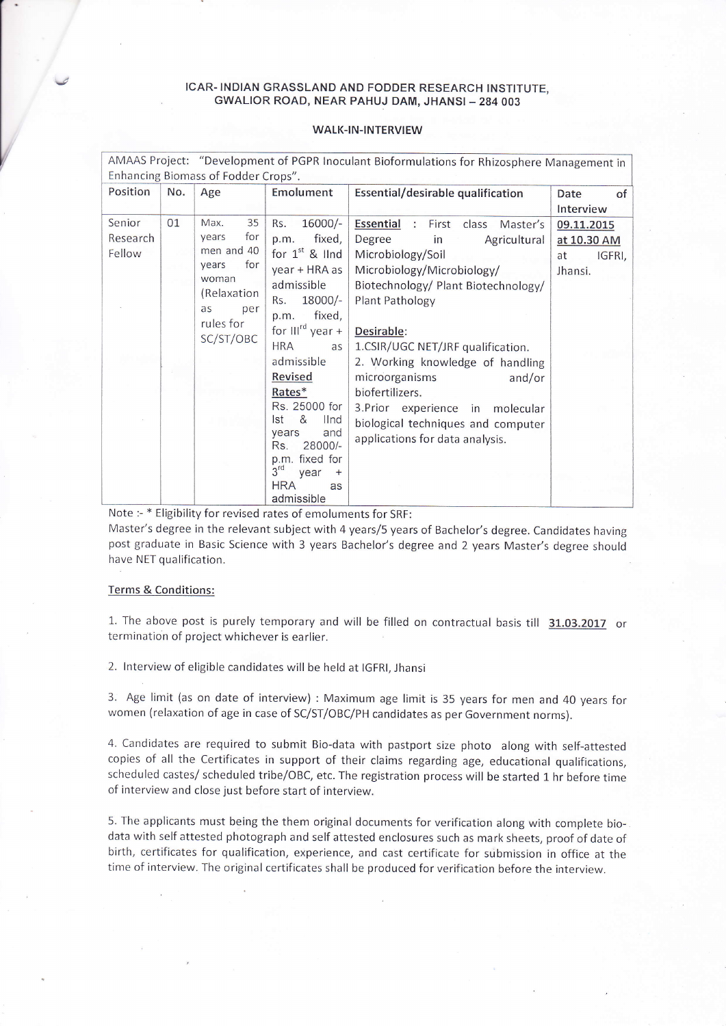## ICAR- INDIAN GRASSLAND AND FODDER RESEARCH INSTITUTE, GWALIOR ROAD, NEAR PAHUJ DAM, JHANSI - 284 003

## WALK-IN-INTERVIEW

| AMAAS Project: "Development of PGPR Inoculant Bioformulations for Rhizosphere Management in |           |                  |                                   |                                                                  |              |
|---------------------------------------------------------------------------------------------|-----------|------------------|-----------------------------------|------------------------------------------------------------------|--------------|
| Enhancing Biomass of Fodder Crops".                                                         |           |                  |                                   |                                                                  |              |
| Position                                                                                    | No.       | Age              | Emolument                         | Essential/desirable qualification                                | Date<br>of   |
|                                                                                             |           |                  |                                   |                                                                  | Interview    |
| Senior                                                                                      | 01        | 35<br>Max.       | $16000/-$<br>Rs.                  | <b>Essential</b><br>First<br>class<br>$\ddot{\cdot}$<br>Master's | 09.11.2015   |
| Research                                                                                    |           | for<br>years     | fixed,<br>p.m.                    | Degree<br>Agricultural<br>in                                     | at 10.30 AM  |
| Fellow                                                                                      |           | men and 40       | for $1st$ & lind                  | Microbiology/Soil                                                | IGFRI,<br>at |
|                                                                                             |           | for<br>years     | year + HRA as                     | Microbiology/Microbiology/                                       | Jhansi.      |
|                                                                                             |           | woman            | admissible                        | Biotechnology/ Plant Biotechnology/                              |              |
|                                                                                             |           | (Relaxation      | 18000/-<br>Rs.                    | Plant Pathology                                                  |              |
|                                                                                             |           | as<br>per        | fixed,<br>p.m.                    |                                                                  |              |
|                                                                                             |           | rules for        | for $III^{rd}$ year +             | Desirable:                                                       |              |
|                                                                                             | SC/ST/OBC | <b>HRA</b><br>as | 1.CSIR/UGC NET/JRF qualification. |                                                                  |              |
|                                                                                             |           |                  | admissible                        | 2. Working knowledge of handling                                 |              |
|                                                                                             |           |                  | <b>Revised</b>                    | microorganisms<br>and/or                                         |              |
|                                                                                             |           |                  | Rates*                            | biofertilizers.                                                  |              |
|                                                                                             |           |                  | Rs. 25000 for                     | 3. Prior experience in<br>molecular                              |              |
|                                                                                             |           |                  | &<br>Ist<br><b>Ilnd</b>           | biological techniques and computer                               |              |
|                                                                                             |           |                  | and<br>years<br>28000/-<br>Rs.    | applications for data analysis.                                  |              |
|                                                                                             |           |                  | fixed for<br>p.m.                 |                                                                  |              |
|                                                                                             |           |                  | 3 <sup>rd</sup><br>year           |                                                                  |              |
|                                                                                             |           |                  | <b>HRA</b><br>as                  |                                                                  |              |
|                                                                                             |           |                  | admissible                        |                                                                  |              |

Note :- \* Eligibility for revised rates of emoluments for SRF:

Master's degree in the relevant subject with 4 years/5 years of Bachelor's degree. Candidates having post graduate in Basic Science with 3 years Bachelor's degree and 2 years Master's degree shoulc have NET qualification.

## Terms & Conditions:

 $\sqrt{2}$ 

1. The above post is purely temporary and will be filled on contractual basis till 31.03.2017 or termination of project whichever is earlier.

2. lnterview of eligible candidates will be held at lGFRl, Jhansi

3. Age limit (as on date of interview) : Maximum age limit is 35 years for men and 40 years for women (relaxation of age in case of SC/ST/OBC/PH candidates as per Government norms).

4. Candidates are required to submit Bio-data with pastport size photo along with self-attested copies of all the Certificates in support of their claims regarding age, educational qualifications, scheduled castes/ scheduled tribe/OBC, etc. The registration process will be started 1 hr before time of interview and close just before start of interview.

5. The applicants must being the them original documents for verification along with complete biodata with self attested photograph and self attested enclosures such as mark sheets, proof of date of birth, certificates for qualification, experience, and cast certificate for submission in office at the time of interview. The original certificates shall be produced for veriflcation before the interview.